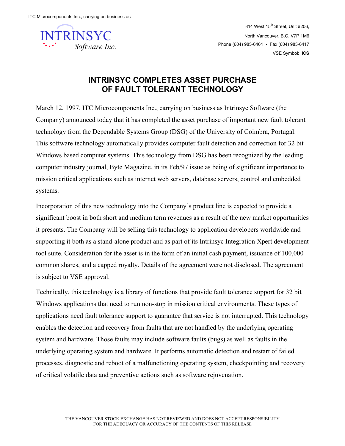

814 West  $15<sup>th</sup>$  Street, Unit #206, North Vancouver, B.C. V7P 1M6 Phone (604) 985-6461 • Fax (604) 985-6417 VSE Symbol: **ICS**

## **INTRINSYC COMPLETES ASSET PURCHASE OF FAULT TOLERANT TECHNOLOGY**

March 12, 1997. ITC Microcomponents Inc., carrying on business as Intrinsyc Software (the Company) announced today that it has completed the asset purchase of important new fault tolerant technology from the Dependable Systems Group (DSG) of the University of Coimbra, Portugal. This software technology automatically provides computer fault detection and correction for 32 bit Windows based computer systems. This technology from DSG has been recognized by the leading computer industry journal, Byte Magazine, in its Feb/97 issue as being of significant importance to mission critical applications such as internet web servers, database servers, control and embedded systems.

Incorporation of this new technology into the Company's product line is expected to provide a significant boost in both short and medium term revenues as a result of the new market opportunities it presents. The Company will be selling this technology to application developers worldwide and supporting it both as a stand-alone product and as part of its Intrinsyc Integration Xpert development tool suite. Consideration for the asset is in the form of an initial cash payment, issuance of 100,000 common shares, and a capped royalty. Details of the agreement were not disclosed. The agreement is subject to VSE approval.

Technically, this technology is a library of functions that provide fault tolerance support for 32 bit Windows applications that need to run non-stop in mission critical environments. These types of applications need fault tolerance support to guarantee that service is not interrupted. This technology enables the detection and recovery from faults that are not handled by the underlying operating system and hardware. Those faults may include software faults (bugs) as well as faults in the underlying operating system and hardware. It performs automatic detection and restart of failed processes, diagnostic and reboot of a malfunctioning operating system, checkpointing and recovery of critical volatile data and preventive actions such as software rejuvenation.